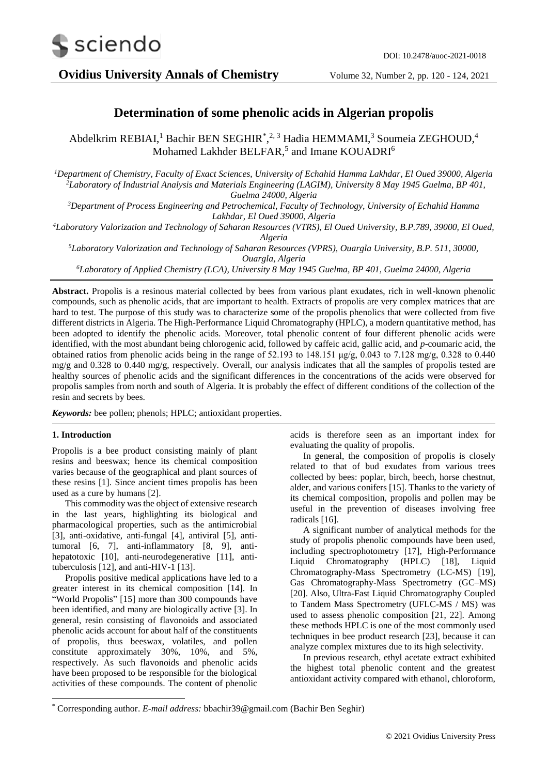

**Ovidius University Annals of Chemistry** Volume 32, Number 2, pp. 120 - 124, 2021

# **Determination of some phenolic acids in Algerian propolis**

Abdelkrim REBIAI,<sup>1</sup> Bachir BEN SEGHIR<sup>\*</sup>,<sup>2,3</sup> Hadia HEMMAMI,<sup>3</sup> Soumeia ZEGHOUD,<sup>4</sup> Mohamed Lakhder BELFAR,<sup>5</sup> and Imane KOUADRI<sup>6</sup>

*<sup>1</sup>Department of Chemistry, Faculty of Exact Sciences, University of Echahid Hamma Lakhdar, El Oued 39000, Algeria <sup>2</sup>Laboratory of Industrial Analysis and Materials Engineering (LAGIM), University 8 May 1945 Guelma, BP 401, Guelma 24000, Algeria*

*<sup>3</sup>Department of Process Engineering and Petrochemical, Faculty of Technology, University of Echahid Hamma Lakhdar, El Oued 39000, Algeria*

*<sup>4</sup>Laboratory Valorization and Technology of Saharan Resources (VTRS), El Oued University, B.P.789, 39000, El Oued, Algeria*

*<sup>5</sup>Laboratory Valorization and Technology of Saharan Resources (VPRS), Ouargla University, B.P. 511, 30000, Ouargla, Algeria*

*<sup>6</sup>Laboratory of Applied Chemistry (LCA), University 8 May 1945 Guelma, BP 401, Guelma 24000, Algeria*

**Abstract.** Propolis is a resinous material collected by bees from various plant exudates, rich in well-known phenolic compounds, such as phenolic acids, that are important to health. Extracts of propolis are very complex matrices that are hard to test. The purpose of this study was to characterize some of the propolis phenolics that were collected from five different districts in Algeria. The High-Performance Liquid Chromatography (HPLC), a modern quantitative method, has been adopted to identify the phenolic acids. Moreover, total phenolic content of four different phenolic acids were identified, with the most abundant being chlorogenic acid, followed by caffeic acid, gallic acid, and *p*-coumaric acid, the obtained ratios from phenolic acids being in the range of 52.193 to 148.151 μg/g, 0.043 to 7.128 mg/g, 0.328 to 0.440 mg/g and 0.328 to 0.440 mg/g, respectively. Overall, our analysis indicates that all the samples of propolis tested are healthy sources of phenolic acids and the significant differences in the concentrations of the acids were observed for propolis samples from north and south of Algeria. It is probably the effect of different conditions of the collection of the resin and secrets by bees.

*Keywords:* bee pollen; phenols; HPLC; antioxidant properties.

## **1. Introduction**

1

Propolis is a bee product consisting mainly of plant resins and beeswax; hence its chemical composition varies because of the geographical and plant sources of these resins [1]. Since ancient times propolis has been used as a cure by humans [2].

This commodity was the object of extensive research in the last years, highlighting its biological and pharmacological properties, such as the antimicrobial [3], anti-oxidative, anti-fungal [4], antiviral [5], antitumoral [6, 7], anti-inflammatory [8, 9], antihepatotoxic [10], anti-neurodegenerative [11], antituberculosis [12], and anti-HIV-1 [13].

Propolis positive medical applications have led to a greater interest in its chemical composition [14]. In "World Propolis" [15] more than 300 compounds have been identified, and many are biologically active [3]. In general, resin consisting of flavonoids and associated phenolic acids account for about half of the constituents of propolis, thus beeswax, volatiles, and pollen constitute approximately 30%, 10%, and 5%, respectively. As such flavonoids and phenolic acids have been proposed to be responsible for the biological activities of these compounds. The content of phenolic

acids is therefore seen as an important index for evaluating the quality of propolis.

In general, the composition of propolis is closely related to that of bud exudates from various trees collected by bees: poplar, birch, beech, horse chestnut, alder, and various conifers [15]. Thanks to the variety of its chemical composition, propolis and pollen may be useful in the prevention of diseases involving free radicals [16].

A significant number of analytical methods for the study of propolis phenolic compounds have been used, including spectrophotometry [17], High-Performance Liquid Chromatography (HPLC) [18], Liquid Chromatography-Mass Spectrometry (LC-MS) [19], Gas Chromatography-Mass Spectrometry (GC–MS) [20]. Also, Ultra-Fast Liquid Chromatography Coupled to Tandem Mass Spectrometry (UFLC-MS / MS) was used to assess phenolic composition [21, 22]. Among these methods HPLC is one of the most commonly used techniques in bee product research [23], because it can analyze complex mixtures due to its high selectivity.

In previous research, ethyl acetate extract exhibited the highest total phenolic content and the greatest antioxidant activity compared with ethanol, chloroform,

<sup>\*</sup> Corresponding author. *E-mail address:* bbachir39@gmail.com (Bachir Ben Seghir)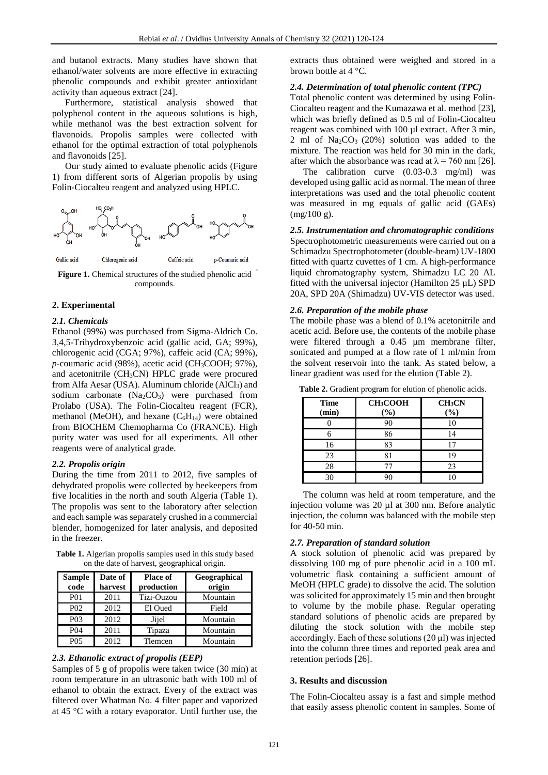and butanol extracts. Many studies have shown that ethanol/water solvents are more effective in extracting phenolic compounds and exhibit greater antioxidant activity than aqueous extract [24].

Furthermore, statistical analysis showed that polyphenol content in the aqueous solutions is high, while methanol was the best extraction solvent for flavonoids. Propolis samples were collected with ethanol for the optimal extraction of total polyphenols and flavonoids [25].

Our study aimed to evaluate phenolic acids (Figure 1) from different sorts of Algerian propolis by using Folin-Ciocalteu reagent and analyzed using HPLC.



**Figure 1.** Chemical structures of the studied phenolic acid compounds.

# **2. Experimental**

#### *2.1. Chemicals*

Ethanol (99%) was purchased from Sigma-Aldrich Co. 3,4,5-Trihydroxybenzoic acid (gallic acid, GA; 99%), chlorogenic acid (CGA; 97%), caffeic acid (CA; 99%), *p*-coumaric acid (98%), acetic acid (CH3COOH; 97%), and acetonitrile (CH3CN) HPLC grade were procured from Alfa Aesar (USA). Aluminum chloride  $(AlCl<sub>3</sub>)$  and sodium carbonate  $(Na_2CO_3)$  were purchased from Prolabo (USA). The Folin-Ciocalteu reagent (FCR), methanol (MeOH), and hexane  $(C_6H_{14})$  were obtained from BIOCHEM Chemopharma Co (FRANCE). High purity water was used for all experiments. All other reagents were of analytical grade.

#### *2.2. Propolis origin*

During the time from 2011 to 2012, five samples of dehydrated propolis were collected by beekeepers from five localities in the north and south Algeria (Table 1). The propolis was sent to the laboratory after selection and each sample was separately crushed in a commercial blender, homogenized for later analysis, and deposited in the freezer.

**Table 1.** Algerian propolis samples used in this study based on the date of harvest, geographical origin.

| <b>Sample</b><br>code | Date of<br>harvest | Place of<br>production | Geographical<br>origin |
|-----------------------|--------------------|------------------------|------------------------|
| <b>P01</b>            | 2011               | Tizi-Ouzou             | Mountain               |
| P <sub>0</sub> 2      | 2012               | El Oued                | Field                  |
| P <sub>0</sub> 3      | 2012               | Jijel                  | Mountain               |
| P <sub>04</sub>       | 2011               | Tipaza                 | Mountain               |
| <b>PO5</b>            | 2012               | Tlemcen                | Mountain               |

#### *2.3. Ethanolic extract of propolis (EEP)*

Samples of 5 g of propolis were taken twice (30 min) at room temperature in an ultrasonic bath with 100 ml of ethanol to obtain the extract. Every of the extract was filtered over Whatman No. 4 filter paper and vaporized at 45 °C with a rotary evaporator. Until further use, the

extracts thus obtained were weighed and stored in a brown bottle at 4 °C.

## *2.4. Determination of total phenolic content (TPC)*

Total phenolic content was determined by using Folin-Ciocalteu reagent and the Kumazawa et al. method [23], which was briefly defined as 0.5 ml of Folin-Ciocalteu reagent was combined with 100 µl extract. After 3 min, 2 ml of  $Na<sub>2</sub>CO<sub>3</sub>$  (20%) solution was added to the mixture. The reaction was held for 30 min in the dark, after which the absorbance was read at  $\lambda = 760$  nm [26].

The calibration curve (0.03-0.3 mg/ml) was developed using gallic acid as normal. The mean of three interpretations was used and the total phenolic content was measured in mg equals of gallic acid (GAEs) (mg/100 g).

*2.5. Instrumentation and chromatographic conditions* Spectrophotometric measurements were carried out on a Schimadzu Spectrophotometer (double-beam) UV-1800 fitted with quartz cuvettes of 1 cm. A high-performance liquid chromatography system, Shimadzu LC 20 AL fitted with the universal injector (Hamilton  $25 \mu L$ ) SPD 20A, SPD 20A (Shimadzu) UV-VIS detector was used.

## *2.6. Preparation of the mobile phase*

The mobile phase was a blend of 0.1% acetonitrile and acetic acid. Before use, the contents of the mobile phase were filtered through a 0.45 µm membrane filter, sonicated and pumped at a flow rate of 1 ml/min from the solvent reservoir into the tank. As stated below, a linear gradient was used for the elution (Table 2).

| <b>Time</b><br>(min) | CH <sub>3</sub> COOH<br>$(\%)$ | CH <sub>3</sub> CN<br>$(\%)$ |
|----------------------|--------------------------------|------------------------------|
|                      | 90                             |                              |
|                      | 86                             | 14                           |
| 16                   | 83                             |                              |
| 23                   |                                | 19                           |
| 28                   |                                | 23                           |
| 30                   |                                |                              |

**Table 2.** Gradient program for elution of phenolic acids.

The column was held at room temperature, and the injection volume was 20 µl at 300 nm. Before analytic injection, the column was balanced with the mobile step for 40-50 min.

#### *2.7. Preparation of standard solution*

A stock solution of phenolic acid was prepared by dissolving 100 mg of pure phenolic acid in a 100 mL volumetric flask containing a sufficient amount of MeOH (HPLC grade) to dissolve the acid. The solution was solicited for approximately 15 min and then brought to volume by the mobile phase. Regular operating standard solutions of phenolic acids are prepared by diluting the stock solution with the mobile step accordingly. Each of these solutions (20 μl) was injected into the column three times and reported peak area and retention periods [26].

## **3. Results and discussion**

The Folin-Ciocalteu assay is a fast and simple method that easily assess phenolic content in samples. Some of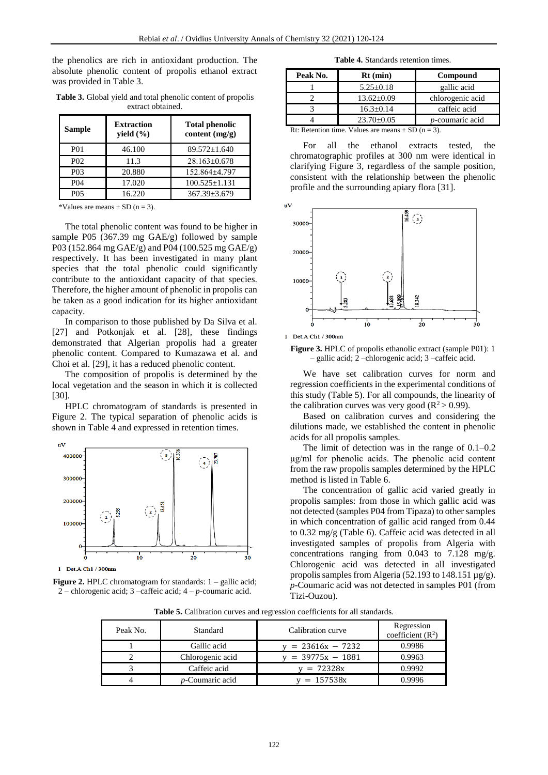the phenolics are rich in antioxidant production. The absolute phenolic content of propolis ethanol extract was provided in Table 3.

**Table 3.** Global yield and total phenolic content of propolis extract obtained.

| <b>Sample</b>    | <b>Extraction</b><br>yield $(\% )$ | <b>Total phenolic</b><br>content $(mg/g)$ |
|------------------|------------------------------------|-------------------------------------------|
| <b>P01</b>       | 46.100                             | $89.572 \pm 1.640$                        |
| P <sub>0</sub> 2 | 11.3                               | $28.163 + 0.678$                          |
| P <sub>0</sub> 3 | 20.880                             | 152.864±4.797                             |
| P04              | 17.020                             | $100.525 \pm 1.131$                       |
| PO5              | 16.220                             | $367.39 + 3.679$                          |

\*Values are means  $\pm$  SD (n = 3).

The total phenolic content was found to be higher in sample P05 (367.39 mg GAE/g) followed by sample P03 (152.864 mg GAE/g) and P04 (100.525 mg GAE/g) respectively. It has been investigated in many plant species that the total phenolic could significantly contribute to the antioxidant capacity of that species. Therefore, the higher amount of phenolic in propolis can be taken as a good indication for its higher antioxidant capacity.

In comparison to those published by Da Silva et al. [27] and Potkonjak et al. [28], these findings demonstrated that Algerian propolis had a greater phenolic content. Compared to Kumazawa et al. and Choi et al. [29], it has a reduced phenolic content.

The composition of propolis is determined by the local vegetation and the season in which it is collected [30].

HPLC chromatogram of standards is presented in Figure 2. The typical separation of phenolic acids is shown in Table 4 and expressed in retention times.





**Table 4.** Standards retention times.

| Peak No.                                                                           | $Rt$ (min)       | Compound                |  |
|------------------------------------------------------------------------------------|------------------|-------------------------|--|
|                                                                                    | $5.25 \pm 0.18$  | gallic acid             |  |
|                                                                                    | $13.62 \pm 0.09$ | chlorogenic acid        |  |
|                                                                                    | $16.3 \pm 0.14$  | caffeic acid            |  |
|                                                                                    | $23.70 \pm 0.05$ | <i>p</i> -coumaric acid |  |
| $\mathbf{D}$ t: Detention time, Velues are means + $\mathbf{E} \mathbf{D}$ (n = 2) |                  |                         |  |

on time. Values are means  $\pm$  SD (n

For all the ethanol extracts tested, the chromatographic profiles at 300 nm were identical in clarifying Figure 3, regardless of the sample position, consistent with the relationship between the phenolic profile and the surrounding apiary flora [31].







We have set calibration curves for norm and regression coefficients in the experimental conditions of this study (Table 5). For all compounds, the linearity of the calibration curves was very good ( $\mathbb{R}^2$  > 0.99).

Based on calibration curves and considering the dilutions made, we established the content in phenolic acids for all propolis samples.

The limit of detection was in the range of 0.1–0.2 μg/ml for phenolic acids. The phenolic acid content from the raw propolis samples determined by the HPLC method is listed in Table 6.

The concentration of gallic acid varied greatly in propolis samples: from those in which gallic acid was not detected (samples P04 from Tipaza) to other samples in which concentration of gallic acid ranged from 0.44 to 0.32 mg/g (Table 6). Caffeic acid was detected in all investigated samples of propolis from Algeria with concentrations ranging from 0.043 to 7.128 mg/g. Chlorogenic acid was detected in all investigated propolis samples from Algeria (52.193 to 148.151 µg/g). *p*-Coumaric acid was not detected in samples P01 (from Tizi-Ouzou).

**Table 5.** Calibration curves and regression coefficients for all standards.

| Peak No. | Standard                | Calibration curve      | Regression<br>coefficient $(R2)$ |
|----------|-------------------------|------------------------|----------------------------------|
|          | Gallic acid             | $v = 23616x - 7232$    | 0.9986                           |
|          | Chlorogenic acid        | $\tau = 39775x - 1881$ | 0.9963                           |
|          | Caffeic acid            | $y = 72328x$           | 0.9992                           |
|          | <i>p</i> -Coumaric acid | $v = 157538x$          | 0.9996                           |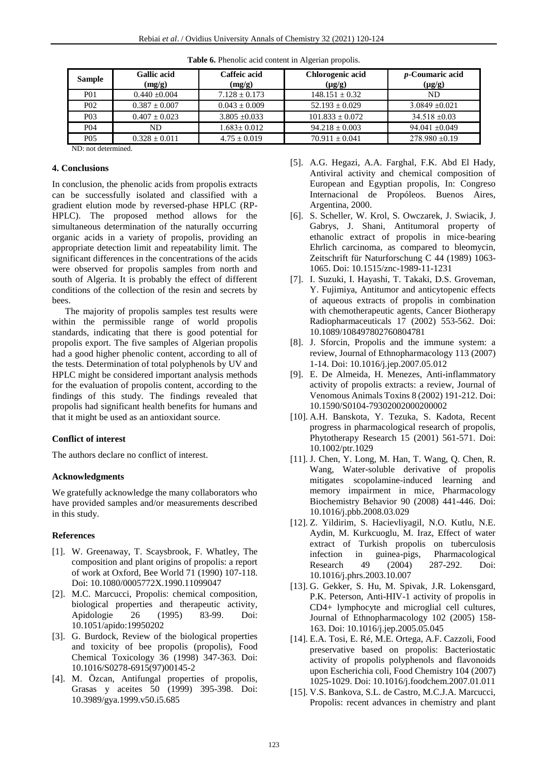| <b>Sample</b>    | <b>Gallic acid</b><br>(mg/g) | Caffeic acid<br>(mg/g) | Chlorogenic acid<br>$(\mu g/g)$ | <i>p</i> -Coumaric acid<br>$(\mu g/g)$ |
|------------------|------------------------------|------------------------|---------------------------------|----------------------------------------|
| P01              | $0.440 + 0.004$              | $7.128 \pm 0.173$      | $148.151 + 0.32$                | ND                                     |
| P <sub>0</sub> 2 | $0.387 + 0.007$              | $0.043 + 0.009$        | $52.193 \pm 0.029$              | $3.0849 + 0.021$                       |
| P <sub>0</sub> 3 | $0.407 \pm 0.023$            | $3.805 \pm 0.033$      | $101.833 \pm 0.072$             | $34.518 \pm 0.03$                      |
| P <sub>04</sub>  | ND                           | $1.683 \pm 0.012$      | $94.218 \pm 0.003$              | 94.041 $\pm$ 0.049                     |
| P05              | $0.328 \pm 0.011$            | $4.75 + 0.019$         | $70.911 + 0.041$                | $278.980 \pm 0.19$                     |

**Table 6.** Phenolic acid content in Algerian propolis.

ND: not determined.

# **4. Conclusions**

In conclusion, the phenolic acids from propolis extracts can be successfully isolated and classified with a gradient elution mode by reversed-phase HPLC (RP-HPLC). The proposed method allows for the simultaneous determination of the naturally occurring organic acids in a variety of propolis, providing an appropriate detection limit and repeatability limit. The significant differences in the concentrations of the acids were observed for propolis samples from north and south of Algeria. It is probably the effect of different conditions of the collection of the resin and secrets by bees.

The majority of propolis samples test results were within the permissible range of world propolis standards, indicating that there is good potential for propolis export. The five samples of Algerian propolis had a good higher phenolic content, according to all of the tests. Determination of total polyphenols by UV and HPLC might be considered important analysis methods for the evaluation of propolis content, according to the findings of this study. The findings revealed that propolis had significant health benefits for humans and that it might be used as an antioxidant source.

## **Conflict of interest**

The authors declare no conflict of interest.

#### **Acknowledgments**

We gratefully acknowledge the many collaborators who have provided samples and/or measurements described in this study.

## **References**

- [1]. W. Greenaway, T. Scaysbrook, F. Whatley, The composition and plant origins of propolis: a report of work at Oxford, Bee World 71 (1990) 107-118. Doi: 10.1080/0005772X.1990.11099047
- [2]. M.C. Marcucci, Propolis: chemical composition, biological properties and therapeutic activity, Apidologie 26 (1995) 83-99. Doi: [10.1051/apido:19950202](https://doi.org/10.1051/apido:19950202)
- [3]. G. Burdock, Review of the biological properties and toxicity of bee propolis (propolis), Food Chemical Toxicology 36 (1998) 347-363. Doi: [10.1016/S0278-6915\(97\)00145-2](https://doi.org/10.1016/S0278-6915(97)00145-2)
- [4]. M. Özcan, Antifungal properties of propolis, Grasas y aceites 50 (1999) 395-398. Doi: [10.3989/gya.1999.v50.i5.685](https://doi.org/10.3989/gya.1999.v50.i5.685)
- [5]. A.G. Hegazi, A.A. Farghal, F.K. Abd El Hady, Antiviral activity and chemical composition of European and Egyptian propolis, In: Congreso Internacional de Propóleos. Buenos Aires, Argentina, 2000.
- [6]. S. Scheller, W. Krol, S. Owczarek, J. Swiacik, J. Gabrys, J. Shani, Antitumoral property of ethanolic extract of propolis in mice-bearing Ehrlich carcinoma, as compared to bleomycin, Zeitschrift für Naturforschung C 44 (1989) 1063- 1065. Doi: [10.1515/znc-1989-11-1231](https://doi.org/10.1515/znc-1989-11-1231)
- [7]. I. Suzuki, I. Hayashi, T. Takaki, D.S. Groveman, Y. Fujimiya, Antitumor and anticytopenic effects of aqueous extracts of propolis in combination with chemotherapeutic agents, Cancer Biotherapy Radiopharmaceuticals 17 (2002) 553-562. Doi: [10.1089/108497802760804781](https://doi.org/10.1089/108497802760804781)
- [8]. J. Sforcin, Propolis and the immune system: a review, Journal of Ethnopharmacology 113 (2007) 1-14. Doi: [10.1016/j.jep.2007.05.012](https://doi.org/10.1016/j.jep.2007.05.012)
- [9]. E. De Almeida, H. Menezes, Anti-inflammatory activity of propolis extracts: a review, Journal of Venomous Animals Toxins 8 (2002) 191-212. Doi: [10.1590/S0104-79302002000200002](https://doi.org/10.1590/S0104-79302002000200002)
- [10]. A.H. Banskota, Y. Tezuka, S. Kadota, Recent progress in pharmacological research of propolis, Phytotherapy Research 15 (2001) 561-571. Doi: [10.1002/ptr.1029](https://doi.org/10.1002/ptr.1029)
- [11]. J. Chen, Y. Long, M. Han, T. Wang, Q. Chen, R. Wang, Water-soluble derivative of propolis mitigates scopolamine-induced learning and memory impairment in mice, Pharmacology Biochemistry Behavior 90 (2008) 441-446. Doi: [10.1016/j.pbb.2008.03.029](https://doi.org/10.1016/j.pbb.2008.03.029)
- [12]. Z. Yildirim, S. Hacievliyagil, N.O. Kutlu, N.E. Aydin, M. Kurkcuoglu, M. Iraz, Effect of water extract of Turkish propolis on tuberculosis infection in guinea-pigs, Pharmacological Research 49 (2004) 287-292. Doi: [10.1016/j.phrs.2003.10.007](https://doi.org/10.1016/j.phrs.2003.10.007)
- [13]. G. Gekker, S. Hu, M. Spivak, J.R. Lokensgard, P.K. Peterson, Anti-HIV-1 activity of propolis in CD4+ lymphocyte and microglial cell cultures, Journal of Ethnopharmacology 102 (2005) 158- 163. Doi: [10.1016/j.jep.2005.05.045](https://doi.org/10.1016/j.jep.2005.05.045)
- [14]. E.A. Tosi, E. Ré, M.E. Ortega, A.F. Cazzoli, Food preservative based on propolis: Bacteriostatic activity of propolis polyphenols and flavonoids upon Escherichia coli, Food Chemistry 104 (2007) 1025-1029. Doi[: 10.1016/j.foodchem.2007.01.011](https://doi.org/10.1016/j.foodchem.2007.01.011)
- [15]. V.S. Bankova, S.L. de Castro, M.C.J.A. Marcucci, Propolis: recent advances in chemistry and plant